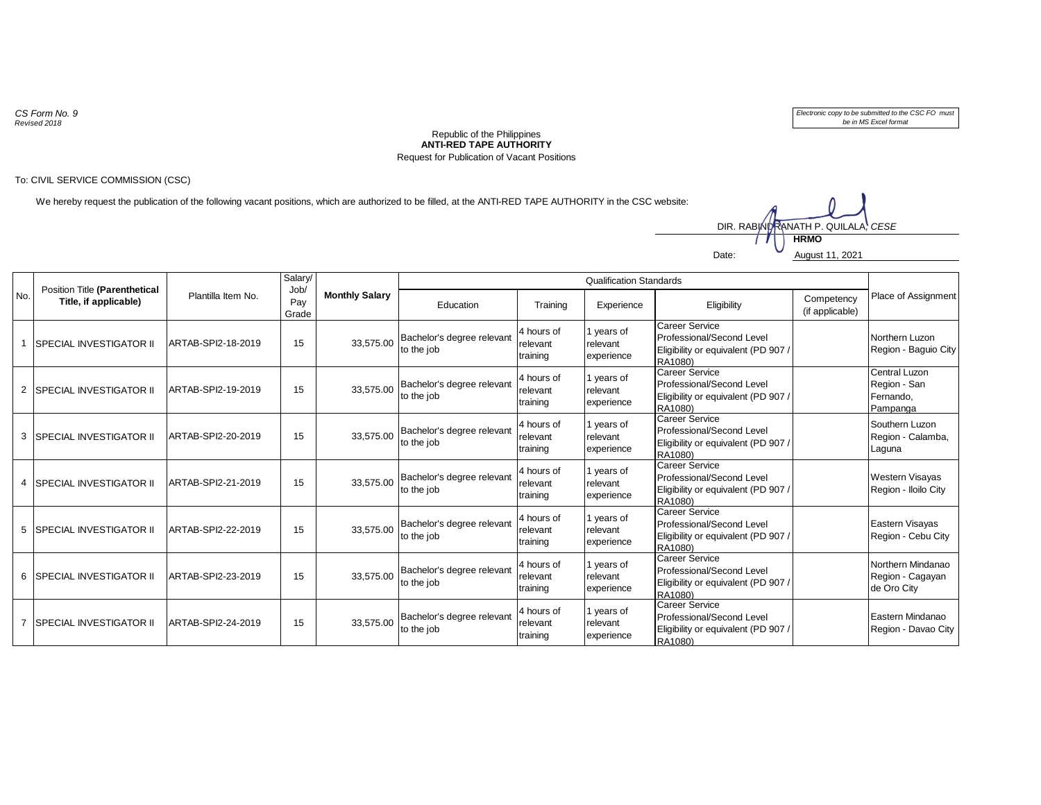*CS Form No. 9 Revised 2018*

*Electronic copy to be submitted to the CSC FO must be in MS Excel format*

## **ANTI-RED TAPE AUTHORITY** Republic of the Philippines Request for Publication of Vacant Positions

## To: CIVIL SERVICE COMMISSION (CSC)

We hereby request the publication of the following vacant positions, which are authorized to be filled, at the ANTI-RED TAPE AUTHORITY in the CSC website:

Date: August 11, 2021 **HRMO** DIR. RABINDRANATH P. QUILALA, *CESE* 

| No.            | Position Title (Parenthetical<br>Title, if applicable) | Plantilla Item No. | Salary/<br>Job/<br>Pay<br>Grade | <b>Monthly Salary</b> | <b>Qualification Standards</b>           |                                    |                                      |                                                                                                      |                               |                                                        |
|----------------|--------------------------------------------------------|--------------------|---------------------------------|-----------------------|------------------------------------------|------------------------------------|--------------------------------------|------------------------------------------------------------------------------------------------------|-------------------------------|--------------------------------------------------------|
|                |                                                        |                    |                                 |                       | Education                                | Training                           | Experience                           | Eligibility                                                                                          | Competency<br>(if applicable) | Place of Assignment                                    |
|                | <b>SPECIAL INVESTIGATOR II</b>                         | ARTAB-SPI2-18-2019 | 15                              | 33,575.00             | Bachelor's degree relevant<br>to the job | 4 hours of<br>relevant<br>training | 1 years of<br>relevant<br>experience | <b>Career Service</b><br>Professional/Second Level<br>Eligibility or equivalent (PD 907 /<br>RA1080) |                               | Northern Luzon<br>Region - Baguio City                 |
|                | 2 SPECIAL INVESTIGATOR II                              | ARTAB-SPI2-19-2019 | 15                              | 33.575.00             | Bachelor's degree relevant<br>to the job | 4 hours of<br>relevant<br>training | 1 years of<br>relevant<br>experience | <b>Career Service</b><br>Professional/Second Level<br>Eligibility or equivalent (PD 907 /<br>RA1080) |                               | Central Luzon<br>Region - San<br>Fernando,<br>Pampanga |
|                | 3 SPECIAL INVESTIGATOR II                              | ARTAB-SPI2-20-2019 | 15                              | 33,575.00             | Bachelor's degree relevant<br>to the job | 4 hours of<br>relevant<br>training | 1 years of<br>relevant<br>experience | <b>Career Service</b><br>Professional/Second Level<br>Eligibility or equivalent (PD 907 /<br>RA1080) |                               | Southern Luzon<br>Region - Calamba,<br>Laguna          |
| 4              | <b>SPECIAL INVESTIGATOR II</b>                         | ARTAB-SPI2-21-2019 | 15                              | 33.575.00             | Bachelor's degree relevant<br>to the job | 4 hours of<br>relevant<br>training | 1 years of<br>relevant<br>experience | Career Service<br>Professional/Second Level<br>Eligibility or equivalent (PD 907 /<br>RA1080)        |                               | <b>Western Visayas</b><br>Region - Iloilo City         |
|                | 5 SPECIAL INVESTIGATOR II                              | ARTAB-SPI2-22-2019 | 15                              | 33.575.00             | Bachelor's degree relevant<br>to the job | 4 hours of<br>relevant<br>training | 1 years of<br>relevant<br>experience | <b>Career Service</b><br>Professional/Second Level<br>Eligibility or equivalent (PD 907 /<br>RA1080) |                               | Eastern Visayas<br>Region - Cebu City                  |
|                | 6 SPECIAL INVESTIGATOR II                              | ARTAB-SPI2-23-2019 | 15                              | 33.575.00             | Bachelor's degree relevant<br>to the job | 4 hours of<br>relevant<br>training | 1 years of<br>relevant<br>experience | <b>Career Service</b><br>Professional/Second Level<br>Eligibility or equivalent (PD 907 /<br>RA1080) |                               | Northern Mindanao<br>Region - Cagayan<br>de Oro City   |
| $\overline{7}$ | <b>SPECIAL INVESTIGATOR II</b>                         | ARTAB-SPI2-24-2019 | 15                              | 33.575.00             | Bachelor's degree relevant<br>to the job | 4 hours of<br>relevant<br>training | 1 years of<br>relevant<br>experience | <b>Career Service</b><br>Professional/Second Level<br>Eligibility or equivalent (PD 907/<br>RA1080)  |                               | Eastern Mindanao<br>Region - Davao City                |